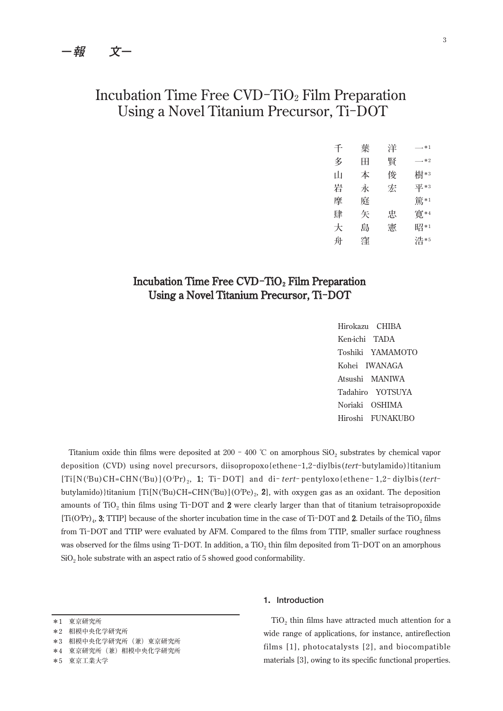# **Incubation Time Free CVD-TiO2 Film Preparation Using a Novel Titanium Precursor, Ti-DOT**

| 千 | 葉 | 洋 | $-$ *1 |
|---|---|---|--------|
| 多 | H | 賢 | $-*2$  |
| Ш | 本 | 傪 | 樹*3    |
| 岩 | 永 | 宍 | 平*3    |
| 摩 | 庭 |   | 篤*1    |
| 肆 | 矢 | 思 | 實*4    |
| 大 | 島 | 憲 | 昭*1    |
| 舟 | 窪 |   | 浩*5    |

# **Incubation Time Free CVD-TiO2 Film Preparation Using a Novel Titanium Precursor, Ti-DOT**

**Hirokazu CHIBA Ken-ichi TADA Toshiki YAMAMOTO Kohei IWANAGA Atsushi MANIWA Tadahiro YOTSUYA Noriaki OSHIMA Hiroshi FUNAKUBO**

**Titanium oxide thin films were deposited at 200 - 400 ℃ on amorphous SiO2 substrates by chemical vapor deposition (CVD) using novel precursors, diisopropoxo{ethene-1,2-diylbis(tert-butylamido)}titanium [Ti[N(<sup>t</sup> Bu)CH=CHN(<sup>t</sup> Bu)](O<sup>i</sup> Pr)2, 1; Ti- DOT] and di- tert- pentyloxo{ethene- 1,2- diylbis(tert butylamido)}titanium [Ti[N(<sup>t</sup> Bu)CH=CHN(<sup>t</sup> Bu)](O<sup>t</sup> Pe)2, 2], with oxygen gas as an oxidant. The deposition** amounts of TiO<sub>2</sub> thin films using Ti-DOT and 2 were clearly larger than that of titanium tetraisopropoxide **[Ti(O<sup>i</sup> Pr)4, 3; TTIP] because of the shorter incubation time in the case of Ti-DOT and 2. Details of the TiO2 films from Ti-DOT and TTIP were evaluated by AFM. Compared to the films from TTIP, smaller surface roughness was observed for the films using Ti-DOT. In addition, a TiO2 thin film deposited from Ti-DOT on an amorphous SiO2 hole substrate with an aspect ratio of 5 showed good conformability.**

**\*3 相模中央化学研究所(兼)東京研究所** 

# 1. Introduction

 $TiO<sub>2</sub>$  thin films have attracted much attention for a **wide range of applications, for instance, antireflection films [1], photocatalysts [2], and biocompatible materials [3], owing to its specific functional properties.**

**<sup>\*1</sup> 東京研究所** 

**<sup>\*2</sup> 相模中央化学研究所**

**<sup>\*4</sup> 東京研究所(兼)相模中央化学研究所** 

**<sup>\*5</sup> 東京工業大学**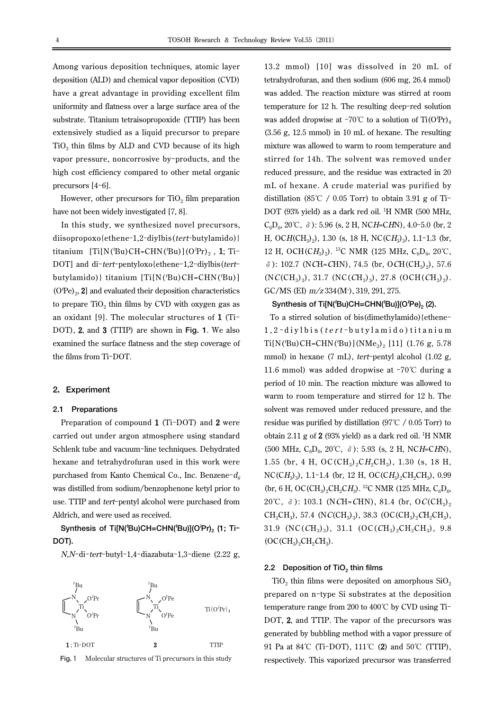**Among various deposition techniques, atomic layer deposition (ALD) and chemical vapor deposition (CVD) have a great advantage in providing excellent film uniformity and flatness over a large surface area of the substrate. Titanium tetraisopropoxide (TTIP) has been extensively studied as a liquid precursor to prepare** TiO<sub>2</sub> thin films by ALD and CVD because of its high **vapor pressure, noncorrosive by-products, and the high cost efficiency compared to other metal organic precursors [4-6].**

However, other precursors for TiO<sub>2</sub> film preparation **have not been widely investigated [7, 8].**

**In this study, we synthesized novel precursors, diisopropoxo{ethene-1,2-diylbis(tert-butylamido)} titanium [Ti[N(<sup>t</sup> Bu)CH=CHN(<sup>t</sup> Bu)](O<sup>i</sup> Pr)2 , 1; Ti- DOT] and di-tert-pentyloxo{ethene-1,2-diylbis(tert butylamido)} titanium [Ti[N(<sup>t</sup> Bu)CH=CHN(<sup>t</sup> Bu)]** (O<sup>T</sup>Pe)<sub>2</sub>, **2**] and evaluated their deposition characteristics to prepare  $TiO<sub>2</sub>$  thin films by CVD with oxygen gas as **an oxidant [9]. The molecular structures of 1 (Ti- DOT), 2, and 3 (TTIP) are shown in Fig. 1. We also examined the surface flatness and the step coverage of the films from Ti-DOT.** 

#### **2.Experiment**

#### **2.1 Preparations**

**Preparation of compound 1 (Ti-DOT) and 2 were carried out under argon atmosphere using standard Schlenk tube and vacuum-line techniques. Dehydrated hexane and tetrahydrofuran used in this work were purchased from Kanto Chemical Co., Inc. Benzene-d<sup>6</sup> was distilled from sodium/benzophenone ketyl prior to use. TTIP and tert-pentyl alcohol were purchased from Aldrich, and were used as received.**

**Synthesis of Ti[N(<sup>t</sup> Bu)CH=CHN(<sup>t</sup> Bu)](O<sup>i</sup> Pr)2 (1; Ti- DOT).** 

**N,N-di-tert-butyl-1,4-diazabuta-1,3-diene (2.22 g,**





**13.2 mmol) [10] was dissolved in 20 mL of tetrahydrofuran, and then sodium (606 mg, 26.4 mmol) was added. The reaction mixture was stirred at room temperature for 12 h. The resulting deep-red solution was added dropwise at −70℃ to a solution of Ti(O<sup>***i***</sup>Pr)<sub>4</sub> (3.56 g, 12.5 mmol) in 10 mL of hexane. The resulting mixture was allowed to warm to room temperature and stirred for 14h. The solvent was removed under reduced pressure, and the residue was extracted in 20 mL of hexane. A crude material was purified by distillation (85℃ / 0.05 Torr) to obtain 3.91 g of Ti- DOT (93% yield) as a dark red oil. <sup>1</sup> H NMR (500 MHz,**  $C_6D_6$ , 20°C,  $\delta$ ): 5.96 (s, 2 H, NC*H*=C*H*N), 4.0-5.0 (br, 2 **H**, OC*H*(CH<sub>3</sub>)<sub>2</sub>), 1.30 (s, 18 H, NC(C*H*<sub>3</sub>)<sub>3</sub>), 1.1-1.3 (br, 12 H, OCH(C $H_3$ )<sub>2</sub>). <sup>13</sup>C NMR (125 MHz, C<sub>6</sub>D<sub>6</sub>, 20<sup>°</sup>C, **δ**): 102.7 (NCH=CHN), 74.5 (br, OCH(CH<sub>3</sub>)<sub>2</sub>), 57.6  $(NC(CH_3)_3)$ , 31.7  $(NC(CH_3)_3)$ , 27.8  $(OCH(CH_3)_2)$ . **GC/MS (EI) m/z 334(M+ ), 319, 291, 275.**

### **Synthesis of Ti[N(<sup>t</sup> Bu)CH=CHN(<sup>t</sup> Bu)](O<sup>t</sup> Pe)2 (2).**

**To a stirred solution of bis(dimethylamido){ethene- 1,2 - diylbis( tert - butylamido)titanium Ti[N(<sup>t</sup> Bu)CH=CHN(<sup>t</sup> Bu)](NMe2)2 [11] (1.76 g, 5.78 mmol) in hexane (7 mL), tert-pentyl alcohol (1.02 g, 11.6 mmol) was added dropwise at -70℃ during a period of 10 min. The reaction mixture was allowed to warm to room temperature and stirred for 12 h. The solvent was removed under reduced pressure, and the residue was purified by distillation (97℃ / 0.05 Torr) to obtain 2.11 g of 2 (93% yield) as a dark red oil. <sup>1</sup> H NMR**  $(500 \text{ MHz}, \text{ C}_6\text{D}_6, 20^{\circ}\text{C}, \delta)$ : 5.93 (s, 2 H, NC*H*=C*H*N), 1.55 (br, 4 H,  $OC(CH_3)_2CH_2CH_3)$ , 1.30 (s, 18 H,  $NC(CH_3)$ <sub>3</sub>), 1.1-1.4 (br, 12 H,  $OC(CH_3)_2CH_2CH_3$ ), 0.99 (br, 6 H, OC(CH<sub>3</sub>)<sub>2</sub>CH<sub>2</sub>CH<sub>3</sub>). <sup>13</sup>C NMR (125 MHz, C<sub>6</sub>D<sub>6</sub>, **20℃,**  $\delta$ ): 103.1 (NCH=CHN), 81.4 (br, OC(CH<sub>3</sub>)<sub>2</sub>  $CH_2CH_3$ , 57.4 (NC(CH<sub>3</sub>)<sub>3</sub>), 38.3 (OC(CH<sub>3</sub>)<sub>2</sub>CH<sub>2</sub>CH<sub>3</sub>), 31.9 (NC( $CH_3$ )<sub>3</sub>), 31.1 (OC( $CH_3$ )<sub>2</sub> $CH_2CH_3$ ), 9.8  $(OC(CH_3)_2CH_2CH_3).$ 

#### **2.2** Deposition of TiO<sub>2</sub> thin films

TiO<sub>2</sub> thin films were deposited on amorphous SiO<sub>2</sub> **prepared on n-type Si substrates at the deposition temperature range from 200 to 400℃ by CVD using Ti- DOT, 2, and TTIP. The vapor of the precursors was generated by bubbling method with a vapor pressure of 91 Pa at 84℃ (Ti-DOT), 111℃ (2) and 50℃ (TTIP), respectively. This vaporized precursor was transferred**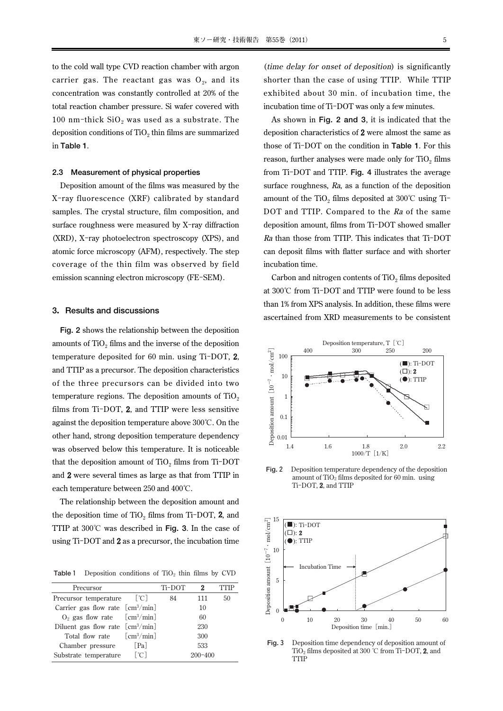**to the cold wall type CVD reaction chamber with argon** carrier gas. The reactant gas was  $O_2$ , and its **concentration was constantly controlled at 20% of the total reaction chamber pressure. Si wafer covered with** 100 nm-thick  $SiO<sub>2</sub>$  was used as a substrate. The deposition conditions of TiO<sub>2</sub> thin films are summarized **in Table 1.** 

#### **2.3 Measurement of physical properties**

**Deposition amount of the films was measured by the X-ray fluorescence (XRF) calibrated by standard samples. The crystal structure, film composition, and surface roughness were measured by X-ray diffraction (XRD), X-ray photoelectron spectroscopy (XPS), and atomic force microscopy (AFM), respectively. The step coverage of the thin film was observed by field emission scanning electron microscopy (FE-SEM).**

#### **3.Results and discussions**

**Fig. 2 shows the relationship between the deposition** amounts of TiO<sub>2</sub> films and the inverse of the deposition **temperature deposited for 60 min. using Ti-DOT, 2, and TTIP as a precursor. The deposition characteristics of the three precursors can be divided into two** temperature regions. The deposition amounts of TiO<sub>2</sub> **films from Ti-DOT, 2, and TTIP were less sensitive against the deposition temperature above 300℃. On the other hand, strong deposition temperature dependency was observed below this temperature. It is noticeable** that the deposition amount of TiO<sub>2</sub> films from Ti-DOT **and 2 were several times as large as that from TTIP in each temperature between 250 and 400℃.** 

**The relationship between the deposition amount and** the deposition time of TiO<sub>2</sub> films from Ti-DOT, 2, and **TTIP at 300℃ was described in Fig. 3. In the case of using Ti-DOT and 2 as a precursor, the incubation time**

**Table 1** Deposition conditions of TiO<sub>2</sub> thin films by CVD

| Precursor                                                    |                           | Ti-DOT | 2           | ITIP |
|--------------------------------------------------------------|---------------------------|--------|-------------|------|
| Precursor temperature                                        | $\lceil \text{°C} \rceil$ | 84     | 111         | 50   |
| Carrier gas flow rate $\lceil$ cm <sup>3</sup> /min $\rceil$ |                           |        | 10          |      |
| $O_2$ gas flow rate $\lfloor$ cm <sup>3</sup> /min]          |                           |        | 60          |      |
| Diluent gas flow rate $\lceil$ cm <sup>3</sup> /min          |                           |        | 230         |      |
| Total flow rate $\lceil \text{cm}^3/\text{min} \rceil$       |                           |        | 300         |      |
| Chamber pressure                                             | [Pa]                      |        | 533         |      |
| Substrate temperature                                        | $\lceil \text{°C} \rceil$ |        | $200 - 400$ |      |

**(time delay for onset of deposition) is significantly shorter than the case of using TTIP. While TTIP exhibited about 30 min. of incubation time, the incubation time of Ti-DOT was only a few minutes.** 

**As shown in Fig. 2 and 3, it is indicated that the deposition characteristics of 2 were almost the same as those of Ti-DOT on the condition in Table 1. For this** reason, further analyses were made only for TiO<sub>2</sub> films **from Ti-DOT and TTIP. Fig. 4 illustrates the average surface roughness, Ra, as a function of the deposition** amount of the  $TiO<sub>2</sub>$  films deposited at 300°C using Ti-**DOT and TTIP. Compared to the Ra of the same deposition amount, films from Ti-DOT showed smaller Ra than those from TTIP. This indicates that Ti-DOT can deposit films with flatter surface and with shorter incubation time.**

Carbon and nitrogen contents of TiO<sub>2</sub> films deposited **at 300℃ from Ti-DOT and TTIP were found to be less than 1% from XPS analysis. In addition, these films were ascertained from XRD measurements to be consistent**



**Fig.2 Deposition temperature dependency of the deposition amount of TiO2 films deposited for 60 min. using Ti-DOT, 2, and TTIP** 



**Fig.3 Deposition time dependency of deposition amount of TiO2 films deposited at 300 ℃ from Ti-DOT, 2, and TTIP**